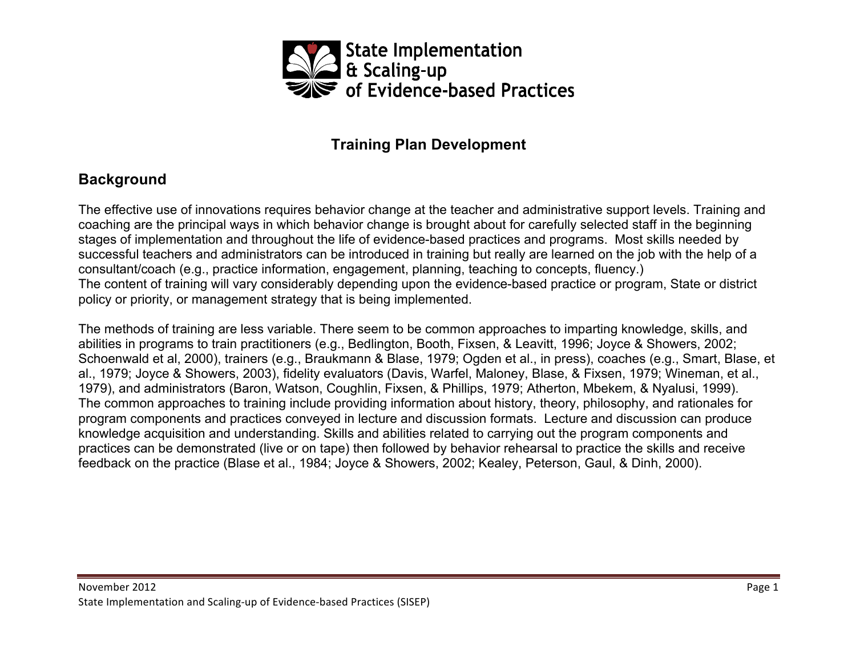

## **Training Plan Development**

## **Background**

The effective use of innovations requires behavior change at the teacher and administrative support levels. Training and coaching are the principal ways in which behavior change is brought about for carefully selected staff in the beginning stages of implementation and throughout the life of evidence-based practices and programs. Most skills needed by successful teachers and administrators can be introduced in training but really are learned on the job with the help of a consultant/coach (e.g., practice information, engagement, planning, teaching to concepts, fluency.) The content of training will vary considerably depending upon the evidence-based practice or program, State or district policy or priority, or management strategy that is being implemented.

The methods of training are less variable. There seem to be common approaches to imparting knowledge, skills, and abilities in programs to train practitioners (e.g., Bedlington, Booth, Fixsen, & Leavitt, 1996; Joyce & Showers, 2002; Schoenwald et al, 2000), trainers (e.g., Braukmann & Blase, 1979; Ogden et al., in press), coaches (e.g., Smart, Blase, et al., 1979; Joyce & Showers, 2003), fidelity evaluators (Davis, Warfel, Maloney, Blase, & Fixsen, 1979; Wineman, et al., 1979), and administrators (Baron, Watson, Coughlin, Fixsen, & Phillips, 1979; Atherton, Mbekem, & Nyalusi, 1999). The common approaches to training include providing information about history, theory, philosophy, and rationales for program components and practices conveyed in lecture and discussion formats. Lecture and discussion can produce knowledge acquisition and understanding. Skills and abilities related to carrying out the program components and practices can be demonstrated (live or on tape) then followed by behavior rehearsal to practice the skills and receive feedback on the practice (Blase et al., 1984; Joyce & Showers, 2002; Kealey, Peterson, Gaul, & Dinh, 2000).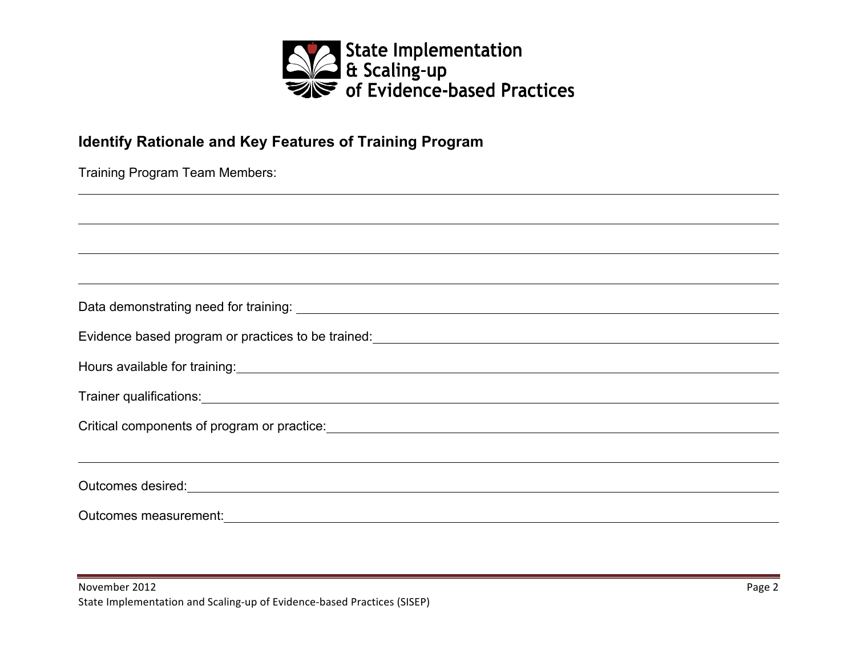

## **Identify Rationale and Key Features of Training Program**

| Training Program Team Members: |  |  |  |  |
|--------------------------------|--|--|--|--|
|--------------------------------|--|--|--|--|

| Hours available for training:<br><u> and</u> the contract of the contract of the contract of the contract of the contract of the contract of the contract of the contract of the contract of the contract of the contract of the cont |
|---------------------------------------------------------------------------------------------------------------------------------------------------------------------------------------------------------------------------------------|
|                                                                                                                                                                                                                                       |
|                                                                                                                                                                                                                                       |
|                                                                                                                                                                                                                                       |
| Outcomes desired: <u>contract and a series of the series of the series of the series of the series of the series of the series of the series of the series of the series of the series of the series of the series of the series</u>  |
|                                                                                                                                                                                                                                       |